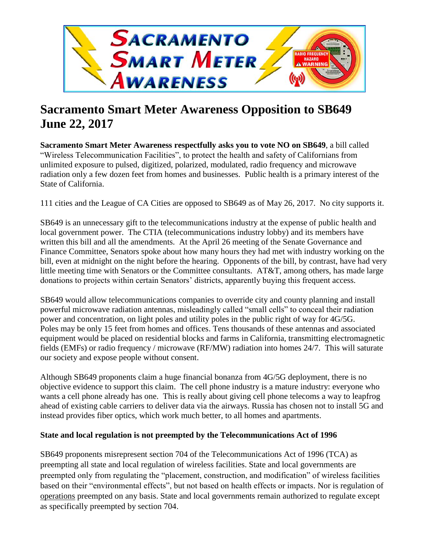

# **Sacramento Smart Meter Awareness Opposition to SB649 June 22, 2017**

**Sacramento Smart Meter Awareness respectfully asks you to vote NO on SB649**, a bill called "Wireless Telecommunication Facilities", to protect the health and safety of Californians from unlimited exposure to pulsed, digitized, polarized, modulated, radio frequency and microwave radiation only a few dozen feet from homes and businesses. Public health is a primary interest of the State of California.

111 cities and the League of CA Cities are opposed to SB649 as of May 26, 2017. No city supports it.

SB649 is an unnecessary gift to the telecommunications industry at the expense of public health and local government power. The CTIA (telecommunications industry lobby) and its members have written this bill and all the amendments. At the April 26 meeting of the Senate Governance and Finance Committee, Senators spoke about how many hours they had met with industry working on the bill, even at midnight on the night before the hearing. Opponents of the bill, by contrast, have had very little meeting time with Senators or the Committee consultants. AT&T, among others, has made large donations to projects within certain Senators' districts, apparently buying this frequent access.

SB649 would allow telecommunications companies to override city and county planning and install powerful microwave radiation antennas, misleadingly called "small cells" to conceal their radiation power and concentration, on light poles and utility poles in the public right of way for 4G/5G. Poles may be only 15 feet from homes and offices. Tens thousands of these antennas and associated equipment would be placed on residential blocks and farms in California, transmitting electromagnetic fields (EMFs) or radio frequency / microwave (RF/MW) radiation into homes 24/7. This will saturate our society and expose people without consent.

Although SB649 proponents claim a huge financial bonanza from 4G/5G deployment, there is no objective evidence to support this claim. The cell phone industry is a mature industry: everyone who wants a cell phone already has one. This is really about giving cell phone telecoms a way to leapfrog ahead of existing cable carriers to deliver data via the airways. Russia has chosen not to install 5G and instead provides fiber optics, which work much better, to all homes and apartments.

## **State and local regulation is not preempted by the Telecommunications Act of 1996**

SB649 proponents misrepresent section 704 of the Telecommunications Act of 1996 (TCA) as preempting all state and local regulation of wireless facilities. State and local governments are preempted only from regulating the "placement, construction, and modification" of wireless facilities based on their "environmental effects", but not based on health effects or impacts. Nor is regulation of operations preempted on any basis. State and local governments remain authorized to regulate except as specifically preempted by section 704.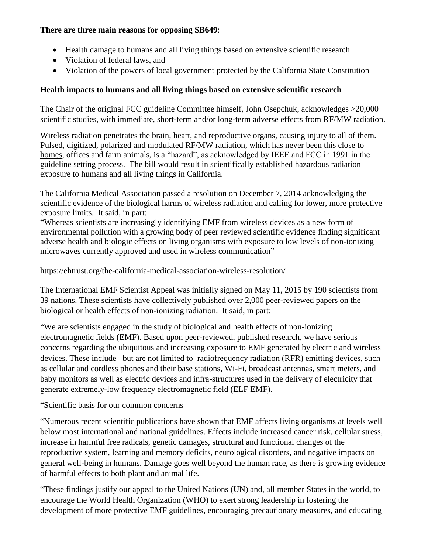#### **There are three main reasons for opposing SB649**:

- Health damage to humans and all living things based on extensive scientific research
- Violation of federal laws, and
- Violation of the powers of local government protected by the California State Constitution

## **Health impacts to humans and all living things based on extensive scientific research**

The Chair of the original FCC guideline Committee himself, John Osepchuk, acknowledges >20,000 scientific studies, with immediate, short-term and/or long-term adverse effects from RF/MW radiation.

Wireless radiation penetrates the brain, heart, and reproductive organs, causing injury to all of them. Pulsed, digitized, polarized and modulated RF/MW radiation, which has never been this close to homes, offices and farm animals, is a "hazard", as acknowledged by IEEE and FCC in 1991 in the guideline setting process. The bill would result in scientifically established hazardous radiation exposure to humans and all living things in California.

The California Medical Association passed a resolution on December 7, 2014 acknowledging the scientific evidence of the biological harms of wireless radiation and calling for lower, more protective exposure limits. It said, in part:

"Whereas scientists are increasingly identifying EMF from wireless devices as a new form of environmental pollution with a growing body of peer reviewed scientific evidence finding significant adverse health and biologic effects on living organisms with exposure to low levels of non-ionizing microwaves currently approved and used in wireless communication"

https://ehtrust.org/the-california-medical-association-wireless-resolution/

The International EMF Scientist Appeal was initially signed on May 11, 2015 by 190 scientists from 39 nations. These scientists have collectively published over 2,000 peer-reviewed papers on the biological or health effects of non-ionizing radiation. It said, in part:

"We are scientists engaged in the study of biological and health effects of non-ionizing electromagnetic fields (EMF). Based upon peer-reviewed, published research, we have serious concerns regarding the ubiquitous and increasing exposure to EMF generated by electric and wireless devices. These include– but are not limited to–radiofrequency radiation (RFR) emitting devices, such as cellular and cordless phones and their base stations, Wi-Fi, broadcast antennas, smart meters, and baby monitors as well as electric devices and infra-structures used in the delivery of electricity that generate extremely-low frequency electromagnetic field (ELF EMF).

## "Scientific basis for our common concerns

"Numerous recent scientific publications have shown that EMF affects living organisms at levels well below most international and national guidelines. Effects include increased cancer risk, cellular stress, increase in harmful free radicals, genetic damages, structural and functional changes of the reproductive system, learning and memory deficits, neurological disorders, and negative impacts on general well-being in humans. Damage goes well beyond the human race, as there is growing evidence of harmful effects to both plant and animal life.

"These findings justify our appeal to the United Nations (UN) and, all member States in the world, to encourage the World Health Organization (WHO) to exert strong leadership in fostering the development of more protective EMF guidelines, encouraging precautionary measures, and educating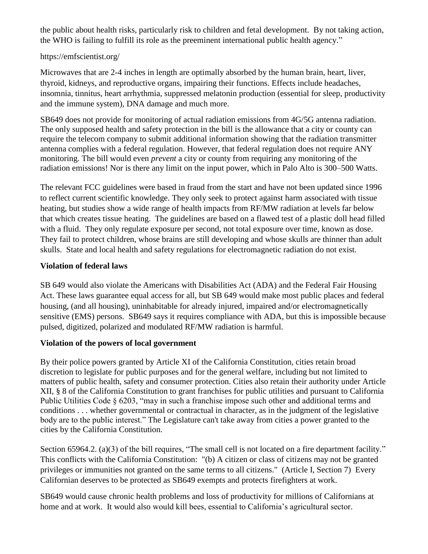the public about health risks, particularly risk to children and fetal development. By not taking action, the WHO is failing to fulfill its role as the preeminent international public health agency."

#### https://emfscientist.org/

Microwaves that are 2-4 inches in length are optimally absorbed by the human brain, heart, liver, thyroid, kidneys, and reproductive organs, impairing their functions. Effects include headaches, insomnia, tinnitus, heart arrhythmia, suppressed melatonin production (essential for sleep, productivity and the immune system), DNA damage and much more.

SB649 does not provide for monitoring of actual radiation emissions from 4G/5G antenna radiation. The only supposed health and safety protection in the bill is the allowance that a city or county can require the telecom company to submit additional information showing that the radiation transmitter antenna complies with a federal regulation. However, that federal regulation does not require ANY monitoring. The bill would even *prevent* a city or county from requiring any monitoring of the radiation emissions! Nor is there any limit on the input power, which in Palo Alto is 300–500 Watts.

The relevant FCC guidelines were based in fraud from the start and have not been updated since 1996 to reflect current scientific knowledge. They only seek to protect against harm associated with tissue heating, but studies show a wide range of health impacts from RF/MW radiation at levels far below that which creates tissue heating. The guidelines are based on a flawed test of a plastic doll head filled with a fluid. They only regulate exposure per second, not total exposure over time, known as dose. They fail to protect children, whose brains are still developing and whose skulls are thinner than adult skulls. State and local health and safety regulations for electromagnetic radiation do not exist.

## **Violation of federal laws**

SB 649 would also violate the Americans with Disabilities Act (ADA) and the Federal Fair Housing Act. These laws guarantee equal access for all, but SB 649 would make most public places and federal housing, (and all housing), uninhabitable for already injured, impaired and/or electromagnetically sensitive (EMS) persons. SB649 says it requires compliance with ADA, but this is impossible because pulsed, digitized, polarized and modulated RF/MW radiation is harmful.

## **Violation of the powers of local government**

By their police powers granted by Article XI of the California Constitution, cities retain broad discretion to legislate for public purposes and for the general welfare, including but not limited to matters of public health, safety and consumer protection. Cities also retain their authority under Article XII, § 8 of the California Constitution to grant franchises for public utilities and pursuant to California Public Utilities Code § 6203, "may in such a franchise impose such other and additional terms and conditions . . . whether governmental or contractual in character, as in the judgment of the legislative body are to the public interest." The Legislature can't take away from cities a power granted to the cities by the California Constitution.

Section 65964.2. (a)(3) of the bill requires, "The small cell is not located on a fire department facility." This conflicts with the California Constitution: "(b) A citizen or class of citizens may not be granted privileges or immunities not granted on the same terms to all citizens." (Article I, Section 7) Every Californian deserves to be protected as SB649 exempts and protects firefighters at work.

SB649 would cause chronic health problems and loss of productivity for millions of Californians at home and at work. It would also would kill bees, essential to California's agricultural sector.